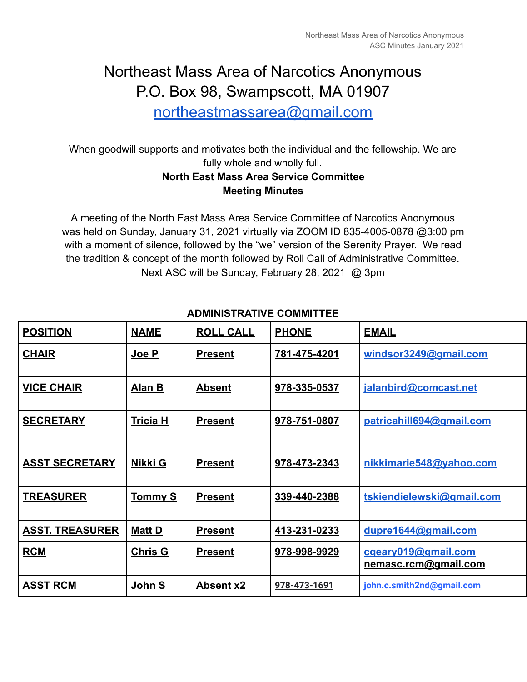# Northeast Mass Area of Narcotics Anonymous P.O. Box 98, Swampscott, MA 01907

[northeastmassarea@gmail.com](mailto:northeastmassarea@gmail.com) 

When goodwill supports and motivates both the individual and the fellowship. We are fully whole and wholly full.

### **North East Mass Area Service Committee Meeting Minutes**

A meeting of the North East Mass Area Service Committee of Narcotics Anonymous was held on Sunday, January 31, 2021 virtually via ZOOM ID 835-4005-0878 @3:00 pm with a moment of silence, followed by the "we" version of the Serenity Prayer. We read the tradition & concept of the month followed by Roll Call of Administrative Committee. Next ASC will be Sunday, February 28, 2021 @ 3pm

| <b>POSITION</b>        | <b>NAME</b>     | <b>ROLL CALL</b> | <b>PHONE</b> | <b>EMAIL</b>                                |
|------------------------|-----------------|------------------|--------------|---------------------------------------------|
| <b>CHAIR</b>           | Joe P           | <b>Present</b>   | 781-475-4201 | windsor3249@gmail.com                       |
| <b>VICE CHAIR</b>      | Alan B          | <b>Absent</b>    | 978-335-0537 | jalanbird@comcast.net                       |
| <b>SECRETARY</b>       | <b>Tricia H</b> | <b>Present</b>   | 978-751-0807 | patricahill694@gmail.com                    |
| <b>ASST SECRETARY</b>  | Nikki G         | <b>Present</b>   | 978-473-2343 | nikkimarie548@yahoo.com                     |
| <b>TREASURER</b>       | <u>Tommy S</u>  | <b>Present</b>   | 339-440-2388 | tskiendielewski@gmail.com                   |
| <b>ASST. TREASURER</b> | <b>Matt D</b>   | <b>Present</b>   | 413-231-0233 | dupre1644@gmail.com                         |
| <b>RCM</b>             | <b>Chris G</b>  | <b>Present</b>   | 978-998-9929 | cgeary019@gmail.com<br>nemasc.rcm@gmail.com |
| <b>ASST RCM</b>        | John S          | <b>Absent x2</b> | 978-473-1691 | john.c.smith2nd@gmail.com                   |

### **ADMINISTRATIVE COMMITTEE**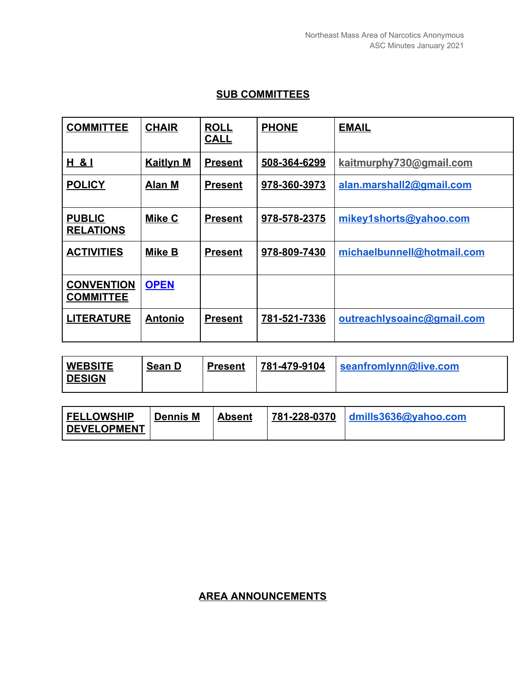#### **SUB COMMITTEES**

| <b>COMMITTEE</b>                      | <b>CHAIR</b>     | <b>ROLL</b><br><b>CALL</b> | <b>PHONE</b> | <b>EMAIL</b>               |
|---------------------------------------|------------------|----------------------------|--------------|----------------------------|
| H & I                                 | <b>Kaitlyn M</b> | <b>Present</b>             | 508-364-6299 | kaitmurphy730@gmail.com    |
| <b>POLICY</b>                         | Alan M           | <b>Present</b>             | 978-360-3973 | alan.marshall2@gmail.com   |
| <b>PUBLIC</b><br><b>RELATIONS</b>     | <b>Mike C</b>    | <b>Present</b>             | 978-578-2375 | mikey1shorts@yahoo.com     |
| <b>ACTIVITIES</b>                     | Mike B           | <b>Present</b>             | 978-809-7430 | michaelbunnell@hotmail.com |
| <b>CONVENTION</b><br><b>COMMITTEE</b> | <b>OPEN</b>      |                            |              |                            |
| <b>LITERATURE</b>                     | <u>Antonio</u>   | <b>Present</b>             | 781-521-7336 | outreachlysoainc@gmail.com |

| <b>WEBSITE</b> | Sean D | <b>Present</b> | 781-479-9104 | seanfromlynn@live.com |
|----------------|--------|----------------|--------------|-----------------------|
| <b>DESIGN</b>  |        |                |              |                       |

| <b>FELLOWSHIP</b>   | Dennis M | <b>Absent</b> |  |
|---------------------|----------|---------------|--|
| <b>IDEVELOPMENT</b> |          |               |  |

### **AREA ANNOUNCEMENTS**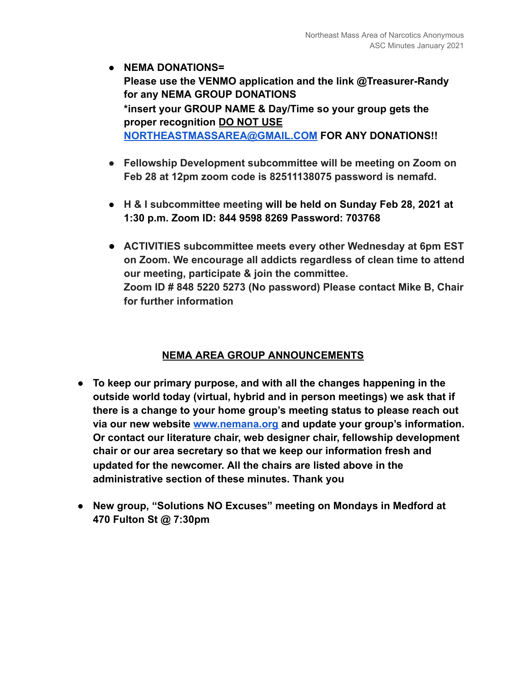- **● NEMA DONATIONS= Please use the VENMO application and the link @Treasurer-Randy for any NEMA GROUP DONATIONS \*insert your GROUP NAME & Day/Time so your group gets the proper recognition DO NOT USE [NORTHEASTMASSAREA@GMAIL.COM](mailto:NORTHEASTMASSAREA@GMAIL.COM) FOR ANY DONATIONS!!**
- **● Fellowship Development subcommittee will be meeting on Zoom on Feb 28 at 12pm zoom code is 82511138075 password is nemafd.**
- **● H & I subcommittee meeting will be held on Sunday Feb 28, 2021 at 1:30 p.m. Zoom ID: 844 9598 8269 Password: 703768**
- **● ACTIVITIES subcommittee meets every other Wednesday at 6pm EST on Zoom. We encourage all addicts regardless of clean time to attend our meeting, participate & join the committee. Zoom ID # 848 5220 5273 (No password) Please contact Mike B, Chair for further information**

#### **NEMA AREA GROUP ANNOUNCEMENTS**

- **● To keep our primary purpose, and with all the changes happening in the outside world today (virtual, hybrid and in person meetings) we ask that if there is a change to your home group's meeting status to please reach out via our new website [www.nemana.org](http://www.nemana.org/) and update your group's information. Or contact our literature chair, web designer chair, fellowship development chair or our area secretary so that we keep our information fresh and updated for the newcomer. All the chairs are listed above in the administrative section of these minutes. Thank you**
- **● New group, "Solutions NO Excuses" meeting on Mondays in Medford at 470 Fulton St @ 7:30pm**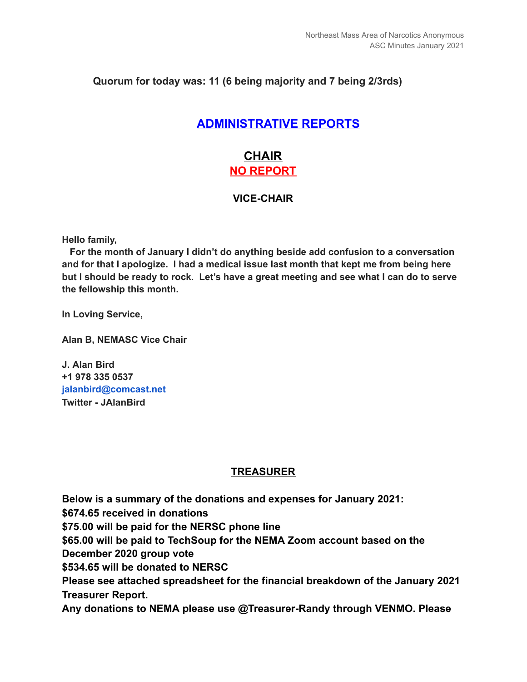#### **Quorum for today was: 11 (6 being majority and 7 being 2/3rds)**

### **ADMINISTRATIVE REPORTS**

### **CHAIR NO REPORT**

#### **VICE-CHAIR**

**Hello family,**

**For the month of January I didn't do anything beside add confusion to a conversation and for that I apologize. I had a medical issue last month that kept me from being here** but I should be ready to rock. Let's have a great meeting and see what I can do to serve **the fellowship this month.**

**In Loving Service,**

**Alan B, NEMASC Vice Chair**

**J. Alan Bird +1 978 335 0537 jalanbird@comcast.net Twitter - JAlanBird**

#### **TREASURER**

**Below is a summary of the donations and expenses for January 2021: \$674.65 received in donations \$75.00 will be paid for the NERSC phone line \$65.00 will be paid to TechSoup for the NEMA Zoom account based on the December 2020 group vote \$534.65 will be donated to NERSC Please see attached spreadsheet for the financial breakdown of the January 2021 Treasurer Report. Any donations to NEMA please use @Treasurer-Randy through VENMO. Please**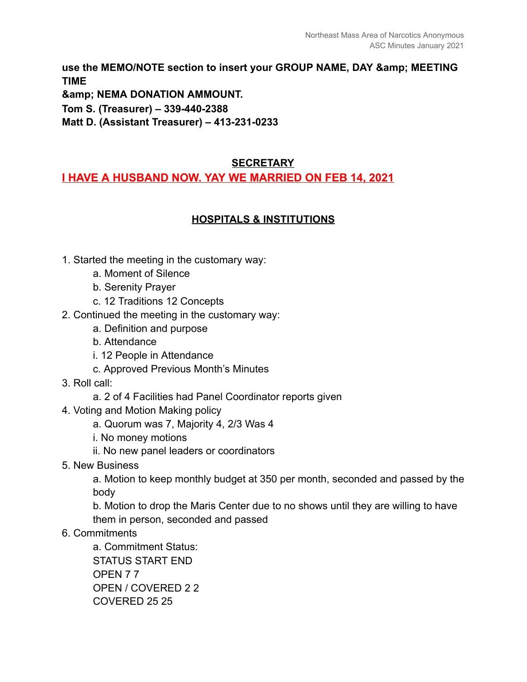use the MEMO/NOTE section to insert your GROUP NAME, DAY & amp; MEETING **TIME & NEMA DONATION AMMOUNT.** 

**Tom S. (Treasurer) – 339-440-2388** 

**Matt D. (Assistant Treasurer) – 413-231-0233** 

#### **SECRETARY**

#### **I HAVE A HUSBAND NOW. YAY WE MARRIED ON FEB 14, 2021**

#### **HOSPITALS & INSTITUTIONS**

- 1. Started the meeting in the customary way:
	- a. Moment of Silence
	- b. Serenity Prayer
	- c. 12 Traditions 12 Concepts
- 2. Continued the meeting in the customary way:
	- a. Definition and purpose
	- b. Attendance
	- i. 12 People in Attendance
	- c. Approved Previous Month's Minutes
- 3. Roll call:
	- a. 2 of 4 Facilities had Panel Coordinator reports given
- 4. Voting and Motion Making policy
	- a. Quorum was 7, Majority 4, 2/3 Was 4
	- i. No money motions
	- ii. No new panel leaders or coordinators
- 5. New Business

a. Motion to keep monthly budget at 350 per month, seconded and passed by the body

b. Motion to drop the Maris Center due to no shows until they are willing to have them in person, seconded and passed

#### 6. Commitments

a. Commitment Status: STATUS START END OPEN 7 7 OPEN / COVERED 2 2 COVERED 25 25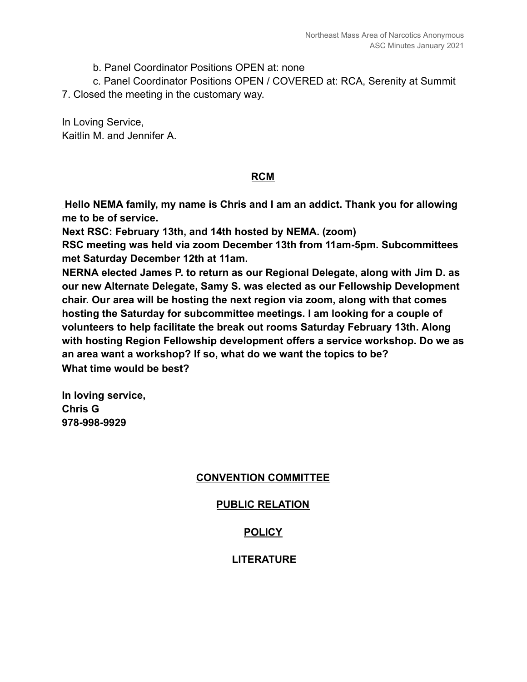b. Panel Coordinator Positions OPEN at: none

c. Panel Coordinator Positions OPEN / COVERED at: RCA, Serenity at Summit

7. Closed the meeting in the customary way.

In Loving Service, Kaitlin M. and Jennifer A.

#### **RCM**

 **Hello NEMA family, my name is Chris and I am an addict. Thank you for allowing me to be of service.** 

**Next RSC: February 13th, and 14th hosted by NEMA. (zoom)** 

**RSC meeting was held via zoom December 13th from 11am-5pm. Subcommittees met Saturday December 12th at 11am.** 

**NERNA elected James P. to return as our Regional Delegate, along with Jim D. as our new Alternate Delegate, Samy S. was elected as our Fellowship Development chair. Our area will be hosting the next region via zoom, along with that comes hosting the Saturday for subcommittee meetings. I am looking for a couple of volunteers to help facilitate the break out rooms Saturday February 13th. Along with hosting Region Fellowship development offers a service workshop. Do we as an area want a workshop? If so, what do we want the topics to be? What time would be best?** 

**In loving service, Chris G 978-998-9929** 

#### **CONVENTION COMMITTEE**

#### **PUBLIC RELATION**

#### **POLICY**

#### **LITERATURE**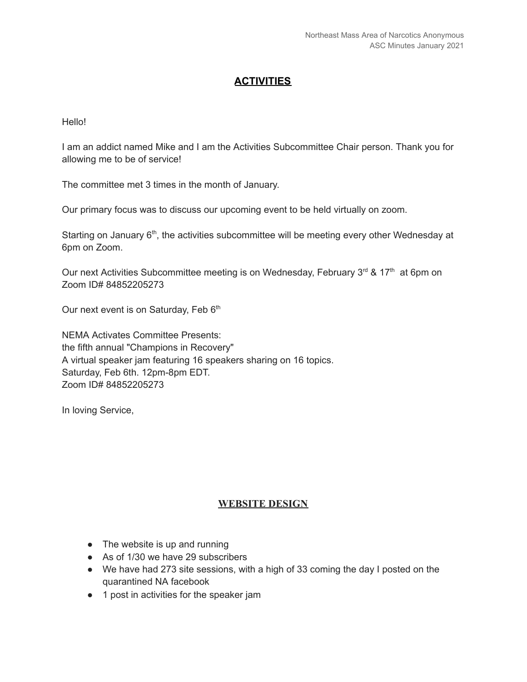#### **ACTIVITIES**

#### Hello!

I am an addict named Mike and I am the Activities Subcommittee Chair person. Thank you for allowing me to be of service!

The committee met 3 times in the month of January.

Our primary focus was to discuss our upcoming event to be held virtually on zoom.

Starting on January 6<sup>th</sup>, the activities subcommittee will be meeting every other Wednesday at 6pm on Zoom.

Our next Activities Subcommittee meeting is on Wednesday, February 3<sup>rd</sup> & 17<sup>th</sup> at 6pm on Zoom ID# 84852205273

Our next event is on Saturday, Feb 6<sup>th</sup>

NEMA Activates Committee Presents: the fifth annual "Champions in Recovery" A virtual speaker jam featuring 16 speakers sharing on 16 topics. Saturday, Feb 6th. 12pm-8pm EDT. Zoom ID# 84852205273

In loving Service,

#### **WEBSITE DESIGN**

- The website is up and running
- As of 1/30 we have 29 subscribers
- We have had 273 site sessions, with a high of 33 coming the day I posted on the quarantined NA facebook
- 1 post in activities for the speaker jam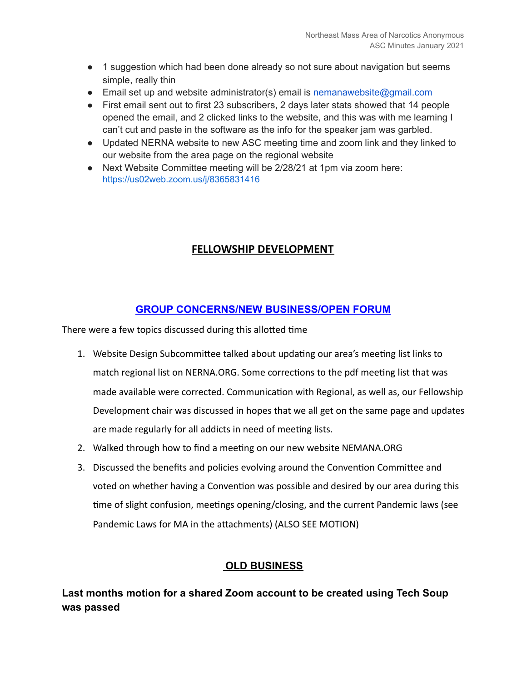- 1 suggestion which had been done already so not sure about navigation but seems simple, really thin
- **•** Email set up and website administrator(s) email is nemanawebsite@gmail.com
- First email sent out to first 23 subscribers, 2 days later stats showed that 14 people opened the email, and 2 clicked links to the website, and this was with me learning I can't cut and paste in the software as the info for the speaker jam was garbled.
- Updated NERNA website to new ASC meeting time and zoom link and they linked to our website from the area page on the regional website
- Next Website Committee meeting will be 2/28/21 at 1pm via zoom here: [https://us02web.zoom.us/j/8365831416](https://us02web.zoom.us/j/83658314166)

#### **FELLOWSHIP DEVELOPMENT**

### **GROUP CONCERNS/NEW BUSINESS/OPEN FORUM**

There were a few topics discussed during this allotted time

- 1. Website Design Subcommittee talked about updating our area's meeting list links to match regional list on NERNA.ORG. Some corrections to the pdf meeting list that was made available were corrected. Communication with Regional, as well as, our Fellowship Development chair was discussed in hopes that we all get on the same page and updates are made regularly for all addicts in need of meeting lists.
- 2. Walked through how to find a meeting on our new website NEMANA.ORG
- 3. Discussed the benefits and policies evolving around the Convention Committee and voted on whether having a Convention was possible and desired by our area during this time of slight confusion, meetings opening/closing, and the current Pandemic laws (see Pandemic Laws for MA in the attachments) (ALSO SEE MOTION)

#### **OLD BUSINESS**

**Last months motion for a shared Zoom account to be created using Tech Soup was passed**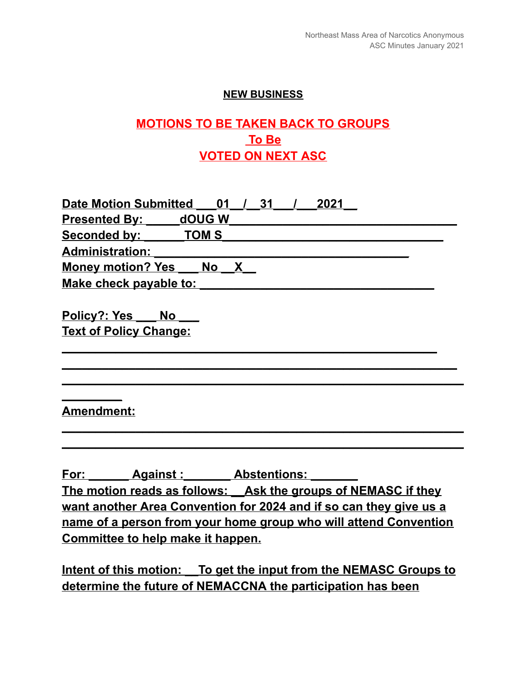#### **NEW BUSINESS**

# **MOTIONS TO BE TAKEN BACK TO GROUPS To Be VOTED ON NEXT ASC**

| <b>Date Motion Submitted</b><br>2021<br>31 |
|--------------------------------------------|
| dOUG W<br><b>Presented By:</b>             |
| TOM <sub>S</sub><br>Seconded by:           |
| <b>Administration:</b>                     |
| <b>Money motion? Yes</b><br><b>No</b>      |
| Make check payable to:                     |
|                                            |
| Policy?: Yes<br><b>No</b>                  |
| <b>Text of Policy Change:</b>              |
|                                            |
|                                            |
|                                            |

### **Amendment:**

**\_\_\_\_\_\_\_\_\_**

**For: \_\_\_\_\_\_ Against :\_\_\_\_\_\_\_ Abstentions: \_\_\_\_\_\_\_ The motion reads as follows: \_\_Ask the groups of NEMASC if they want another Area Convention for 2024 and if so can they give us a name of a person from your home group who will attend Convention Committee to help make it happen.**

**\_\_\_\_\_\_\_\_\_\_\_\_\_\_\_\_\_\_\_\_\_\_\_\_\_\_\_\_\_\_\_\_\_\_\_\_\_\_\_\_\_\_\_\_\_\_\_\_\_\_\_\_\_\_\_\_\_\_\_\_ \_\_\_\_\_\_\_\_\_\_\_\_\_\_\_\_\_\_\_\_\_\_\_\_\_\_\_\_\_\_\_\_\_\_\_\_\_\_\_\_\_\_\_\_\_\_\_\_\_\_\_\_\_\_\_\_\_\_\_\_**

**Intent of this motion: \_\_To get the input from the NEMASC Groups to determine the future of NEMACCNA the participation has been**